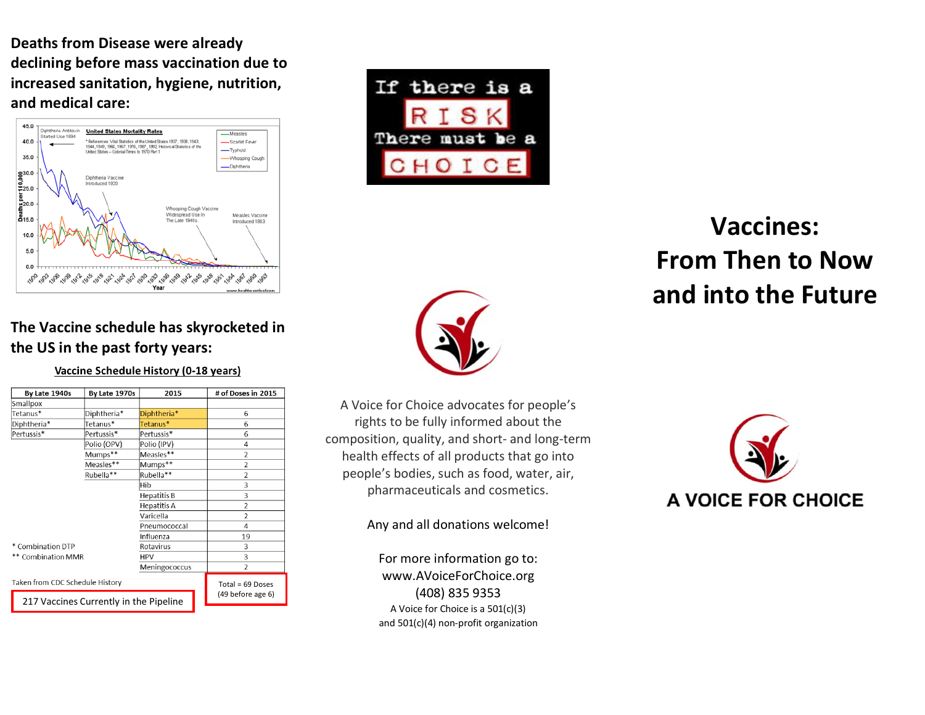**Deaths from Disease were already declining before mass vaccination due to increased sanitation, hygiene, nutrition, and medical care:**





# **Vaccines: From Then to Now and into the Future**



#### **The Vaccine schedule has skyrocketed in the US in the past forty years:**

#### Vaccine Schedule History (0-18 years)

| By Late 1940s                          | By Late 1970s | 2015          | # of Doses in 2015       |
|----------------------------------------|---------------|---------------|--------------------------|
| Smallpox                               |               |               |                          |
| Tetanus*                               | Diphtheria*   | Diphtheria*   | 6                        |
| Diphtheria*                            | Tetanus*      | Tetanus*      | 6                        |
| Pertussis*                             | Pertussis*    | Pertussis*    | 6                        |
|                                        | Polio (OPV)   | Polio (IPV)   | 4                        |
|                                        | Mumps**       | Measles**     | $\overline{2}$           |
|                                        | Measles**     | Mumps**       | $\overline{2}$           |
|                                        | Rubella**     | Rubella**     | $\overline{\phantom{a}}$ |
|                                        |               | Hib           | 3                        |
|                                        |               | Hepatitis B   | 3                        |
|                                        |               | Hepatitis A   | $\overline{2}$           |
|                                        |               | Varicella     | $\overline{2}$           |
|                                        |               | Pneumococcal  | 4                        |
|                                        |               | Influenza     | 19                       |
| * Combination DTP                      |               | Rotavirus     | 3                        |
| ** Combination MMR                     |               | <b>HPV</b>    | 3                        |
|                                        |               | Meningococcus | 2                        |
| Taken from CDC Schedule History        |               |               | Total = $69$ Doses       |
| 217 Vaccines Currently in the Pipeline |               |               | (49 before age 6)        |

A Voice for Choice advocates for people's rights to be fully informed about the composition, quality, and short- and long-term health effects of all products that go into people's bodies, such as food, water, air, pharmaceuticals and cosmetics.

Any and all donations welcome!

For more information go to: www.AVoiceForChoice.org (408) 835 9353 A Voice for Choice is a 501(c)(3) and 501(c)(4) non-profit organization